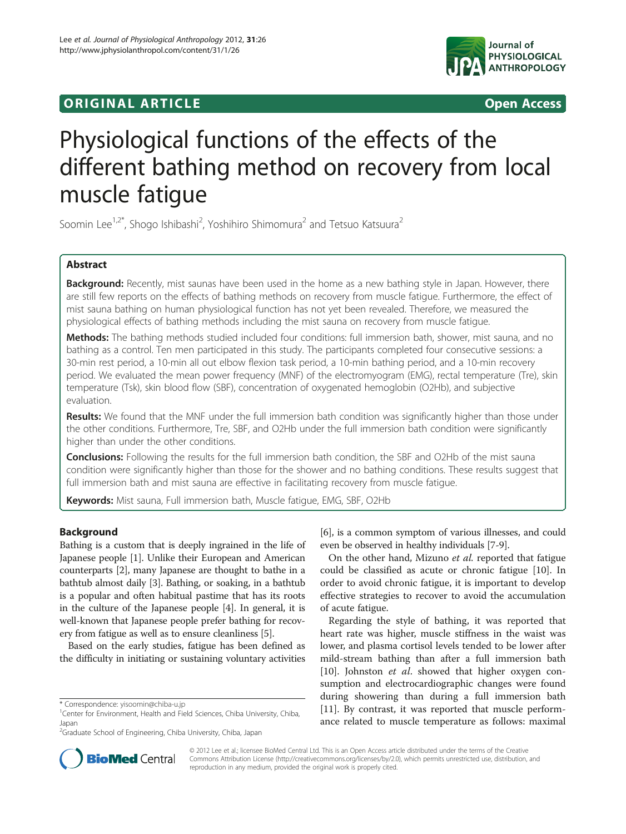# **ORIGINAL ARTICLE CONSUMING A LIGACION** CONSUMING A LIGACION CONSUMING A LIGACION CONSUMING A LIGACION CONSUMING A LIGACION CONSUMING A LIGACION CONSUMING A LIGACION CONSUMING A LIGACION CONSUMING A LIGACION CONSUMING A



# Physiological functions of the effects of the different bathing method on recovery from local muscle fatigue

Soomin Lee<sup>1,2\*</sup>, Shogo Ishibashi<sup>2</sup>, Yoshihiro Shimomura<sup>2</sup> and Tetsuo Katsuura<sup>2</sup>

# Abstract

Background: Recently, mist saunas have been used in the home as a new bathing style in Japan. However, there are still few reports on the effects of bathing methods on recovery from muscle fatigue. Furthermore, the effect of mist sauna bathing on human physiological function has not yet been revealed. Therefore, we measured the physiological effects of bathing methods including the mist sauna on recovery from muscle fatigue.

Methods: The bathing methods studied included four conditions: full immersion bath, shower, mist sauna, and no bathing as a control. Ten men participated in this study. The participants completed four consecutive sessions: a 30-min rest period, a 10-min all out elbow flexion task period, a 10-min bathing period, and a 10-min recovery period. We evaluated the mean power frequency (MNF) of the electromyogram (EMG), rectal temperature (Tre), skin temperature (Tsk), skin blood flow (SBF), concentration of oxygenated hemoglobin (O2Hb), and subjective evaluation.

Results: We found that the MNF under the full immersion bath condition was significantly higher than those under the other conditions. Furthermore, Tre, SBF, and O2Hb under the full immersion bath condition were significantly higher than under the other conditions.

Conclusions: Following the results for the full immersion bath condition, the SBF and O2Hb of the mist sauna condition were significantly higher than those for the shower and no bathing conditions. These results suggest that full immersion bath and mist sauna are effective in facilitating recovery from muscle fatigue.

Keywords: Mist sauna, Full immersion bath, Muscle fatigue, EMG, SBF, O2Hb

# Background

Bathing is a custom that is deeply ingrained in the life of Japanese people [[1\]](#page-5-0). Unlike their European and American counterparts [[2](#page-5-0)], many Japanese are thought to bathe in a bathtub almost daily [\[3\]](#page-5-0). Bathing, or soaking, in a bathtub is a popular and often habitual pastime that has its roots in the culture of the Japanese people [[4\]](#page-5-0). In general, it is well-known that Japanese people prefer bathing for recovery from fatigue as well as to ensure cleanliness [\[5](#page-5-0)].

Based on the early studies, fatigue has been defined as the difficulty in initiating or sustaining voluntary activities

[[6\]](#page-5-0), is a common symptom of various illnesses, and could even be observed in healthy individuals [[7-9\]](#page-5-0).

On the other hand, Mizuno et al. reported that fatigue could be classified as acute or chronic fatigue [\[10\]](#page-5-0). In order to avoid chronic fatigue, it is important to develop effective strategies to recover to avoid the accumulation of acute fatigue.

Regarding the style of bathing, it was reported that heart rate was higher, muscle stiffness in the waist was lower, and plasma cortisol levels tended to be lower after mild-stream bathing than after a full immersion bath [[10\]](#page-5-0). Johnston et al. showed that higher oxygen consumption and electrocardiographic changes were found during showering than during a full immersion bath [[11\]](#page-5-0). By contrast, it was reported that muscle performance related to muscle temperature as follows: maximal



© 2012 Lee et al.; licensee BioMed Central Ltd. This is an Open Access article distributed under the terms of the Creative Commons Attribution License [\(http://creativecommons.org/licenses/by/2.0\)](http://creativecommons.org/licenses/by/2.0), which permits unrestricted use, distribution, and reproduction in any medium, provided the original work is properly cited.

<sup>\*</sup> Correspondence: [yisoomin@chiba-u.jp](mailto:yisoomin@chiba--.jp) <sup>1</sup>

<sup>&</sup>lt;sup>1</sup>Center for Environment, Health and Field Sciences, Chiba University, Chiba, Japan

<sup>&</sup>lt;sup>2</sup>Graduate School of Engineering, Chiba University, Chiba, Japan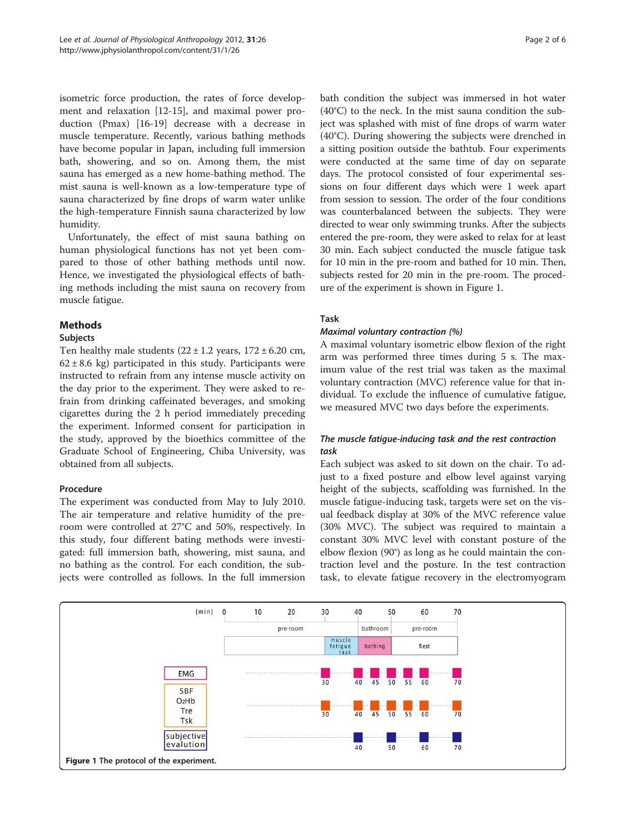isometric force production, the rates of force development and relaxation [[12](#page-5-0)-[15\]](#page-5-0), and maximal power production (Pmax) [[16-19](#page-5-0)] decrease with a decrease in muscle temperature. Recently, various bathing methods have become popular in Japan, including full immersion bath, showering, and so on. Among them, the mist sauna has emerged as a new home-bathing method. The mist sauna is well-known as a low-temperature type of sauna characterized by fine drops of warm water unlike the high-temperature Finnish sauna characterized by low humidity.

Unfortunately, the effect of mist sauna bathing on human physiological functions has not yet been compared to those of other bathing methods until now. Hence, we investigated the physiological effects of bathing methods including the mist sauna on recovery from muscle fatigue.

# Methods

# Subjects

Ten healthy male students  $(22 \pm 1.2 \text{ years}, 172 \pm 6.20 \text{ cm},$  $62 \pm 8.6$  kg) participated in this study. Participants were instructed to refrain from any intense muscle activity on the day prior to the experiment. They were asked to refrain from drinking caffeinated beverages, and smoking cigarettes during the 2 h period immediately preceding the experiment. Informed consent for participation in the study, approved by the bioethics committee of the Graduate School of Engineering, Chiba University, was obtained from all subjects.

#### Procedure

The experiment was conducted from May to July 2010. The air temperature and relative humidity of the preroom were controlled at 27°C and 50%, respectively. In this study, four different bating methods were investigated: full immersion bath, showering, mist sauna, and no bathing as the control. For each condition, the subjects were controlled as follows. In the full immersion

bath condition the subject was immersed in hot water (40°C) to the neck. In the mist sauna condition the subject was splashed with mist of fine drops of warm water (40°C). During showering the subjects were drenched in a sitting position outside the bathtub. Four experiments were conducted at the same time of day on separate days. The protocol consisted of four experimental sessions on four different days which were 1 week apart from session to session. The order of the four conditions was counterbalanced between the subjects. They were directed to wear only swimming trunks. After the subjects entered the pre-room, they were asked to relax for at least 30 min. Each subject conducted the muscle fatigue task for 10 min in the pre-room and bathed for 10 min. Then, subjects rested for 20 min in the pre-room. The procedure of the experiment is shown in Figure 1.

# Task

#### Maximal voluntary contraction (%)

A maximal voluntary isometric elbow flexion of the right arm was performed three times during 5 s. The maximum value of the rest trial was taken as the maximal voluntary contraction (MVC) reference value for that individual. To exclude the influence of cumulative fatigue, we measured MVC two days before the experiments.

# The muscle fatigue-inducing task and the rest contraction task

Each subject was asked to sit down on the chair. To adjust to a fixed posture and elbow level against varying height of the subjects, scaffolding was furnished. In the muscle fatigue-inducing task, targets were set on the visual feedback display at 30% of the MVC reference value (30% MVC). The subject was required to maintain a constant 30% MVC level with constant posture of the elbow flexion (90°) as long as he could maintain the contraction level and the posture. In the test contraction task, to elevate fatigue recovery in the electromyogram

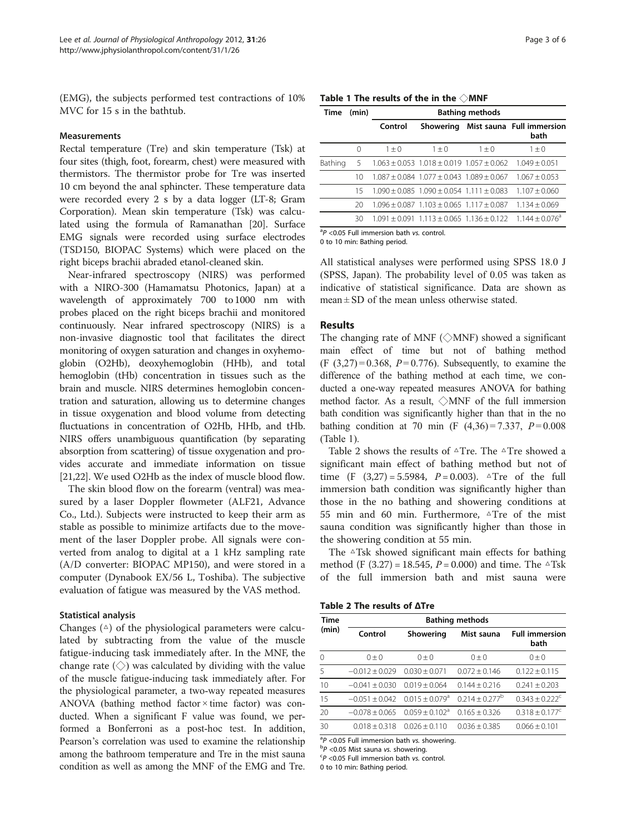(EMG), the subjects performed test contractions of 10% MVC for 15 s in the bathtub.

#### **Measurements**

Rectal temperature (Tre) and skin temperature (Tsk) at four sites (thigh, foot, forearm, chest) were measured with thermistors. The thermistor probe for Tre was inserted 10 cm beyond the anal sphincter. These temperature data were recorded every 2 s by a data logger (LT-8; Gram Corporation). Mean skin temperature (Tsk) was calculated using the formula of Ramanathan [\[20\]](#page-5-0). Surface EMG signals were recorded using surface electrodes (TSD150, BIOPAC Systems) which were placed on the right biceps brachii abraded etanol-cleaned skin.

Near-infrared spectroscopy (NIRS) was performed with a NIRO-300 (Hamamatsu Photonics, Japan) at a wavelength of approximately 700 to 1000 nm with probes placed on the right biceps brachii and monitored continuously. Near infrared spectroscopy (NIRS) is a non-invasive diagnostic tool that facilitates the direct monitoring of oxygen saturation and changes in oxyhemoglobin (O2Hb), deoxyhemoglobin (HHb), and total hemoglobin (tHb) concentration in tissues such as the brain and muscle. NIRS determines hemoglobin concentration and saturation, allowing us to determine changes in tissue oxygenation and blood volume from detecting fluctuations in concentration of O2Hb, HHb, and tHb. NIRS offers unambiguous quantification (by separating absorption from scattering) of tissue oxygenation and provides accurate and immediate information on tissue [[21,22](#page-5-0)]. We used O2Hb as the index of muscle blood flow.

The skin blood flow on the forearm (ventral) was measured by a laser Doppler flowmeter (ALF21, Advance Co., Ltd.). Subjects were instructed to keep their arm as stable as possible to minimize artifacts due to the movement of the laser Doppler probe. All signals were converted from analog to digital at a 1 kHz sampling rate (A/D converter: BIOPAC MP150), and were stored in a computer (Dynabook EX/56 L, Toshiba). The subjective evaluation of fatigue was measured by the VAS method.

#### Statistical analysis

Changes  $(4)$  of the physiological parameters were calculated by subtracting from the value of the muscle fatigue-inducing task immediately after. In the MNF, the change rate  $(\Diamond)$  was calculated by dividing with the value of the muscle fatigue-inducing task immediately after. For the physiological parameter, a two-way repeated measures ANOVA (bathing method factor × time factor) was conducted. When a significant F value was found, we performed a Bonferroni as a post-hoc test. In addition, Pearson's correlation was used to examine the relationship among the bathroom temperature and Tre in the mist sauna condition as well as among the MNF of the EMG and Tre.

| Table 1 The results of the in the $\Diamond$ MNF |  |  |
|--------------------------------------------------|--|--|
|--------------------------------------------------|--|--|

| Time    | (min)            | <b>Bathing methods</b> |                                                       |         |                                                                                      |
|---------|------------------|------------------------|-------------------------------------------------------|---------|--------------------------------------------------------------------------------------|
|         |                  | Control                | Showering                                             |         | Mist sauna Full immersion<br>bath                                                    |
|         | $\left( \right)$ | $1 + 0$                | $1 + 0$                                               | $1 + 0$ | $1 + 0$                                                                              |
| Bathing | 5                |                        | $1.063 \pm 0.053$ $1.018 \pm 0.019$ $1.057 \pm 0.062$ |         | $1.049 + 0.051$                                                                      |
|         | 10               |                        | $1.087 + 0.084$ 1.077 + 0.043 1.089 + 0.067           |         | $1.067 + 0.053$                                                                      |
|         | 15               |                        | $1.090 + 0.085$ $1.090 + 0.054$ $1.111 + 0.083$       |         | $1.107 + 0.060$                                                                      |
|         | 20               |                        | $1.096 + 0.087$ $1.103 + 0.065$ $1.117 + 0.087$       |         | $1.134 + 0.069$                                                                      |
|         | 30               |                        |                                                       |         | $1.091 \pm 0.091$ $1.113 \pm 0.065$ $1.136 \pm 0.122$ $1.144 \pm 0.076$ <sup>a</sup> |

 ${}^{a}P$  <0.05 Full immersion bath vs. control.<br>0 to 10 min: Bathing period

0 to 10 min: Bathing period.

All statistical analyses were performed using SPSS 18.0 J (SPSS, Japan). The probability level of 0.05 was taken as indicative of statistical significance. Data are shown as mean  $\pm$  SD of the mean unless otherwise stated.

#### Results

The changing rate of MNF ( $\Diamond$ MNF) showed a significant main effect of time but not of bathing method  $(F (3,27) = 0.368, P = 0.776)$ . Subsequently, to examine the difference of the bathing method at each time, we conducted a one-way repeated measures ANOVA for bathing method factor. As a result, ◇MNF of the full immersion bath condition was significantly higher than that in the no bathing condition at 70 min (F  $(4,36) = 7.337$ ,  $P = 0.008$ (Table 1).

Table 2 shows the results of  $\triangle$ Tre. The  $\triangle$ Tre showed a significant main effect of bathing method but not of time (F  $(3,27) = 5.5984$ ,  $P = 0.003$ ).  $\Delta T$ re of the full immersion bath condition was significantly higher than those in the no bathing and showering conditions at 55 min and 60 min. Furthermore, △Tre of the mist sauna condition was significantly higher than those in the showering condition at 55 min.

The  $\triangle$ Tsk showed significant main effects for bathing method (F (3.27) = 18.545,  $P = 0.000$ ) and time. The  $\triangle$ Tsk of the full immersion bath and mist sauna were

Table 2 The results of ΔTre

| Time     | <b>Bathing methods</b> |                                |                   |                               |  |
|----------|------------------------|--------------------------------|-------------------|-------------------------------|--|
| (min)    | Control                | Showering                      | Mist sauna        | <b>Full immersion</b><br>bath |  |
| $\Omega$ | $() + ()$              | $() + ()$                      | $0 \pm 0$         | $0 \pm 0$                     |  |
| 5        | $-0.012 \pm 0.029$     | $0.030 + 0.071$                | $0.072 + 0.146$   | $0.122 + 0.115$               |  |
| 10       | $-0.041 + 0.030$       | $0.019 + 0.064$                | $0.144 + 0.216$   | $0.241 \pm 0.203$             |  |
| 15       | $-0.051 + 0.042$       | $0.015 + 0.079$ <sup>a</sup>   | $0.214 + 0.277^b$ | $0.343 + 0.222$ <sup>c</sup>  |  |
| 20       | $-0.078 + 0.065$       | $0.059 \pm 0.102$ <sup>a</sup> | $0.165 + 0.326$   | $0.318 \pm 0.177^c$           |  |
| 30       | $0.018 + 0.318$        | $0.026 + 0.110$                | $0.036 + 0.385$   | $0.066 + 0.101$               |  |

 ${}^{a}P$  <0.05 Full immersion bath vs. showering.<br> ${}^{b}P$  <0.05 Mist sauna vs. showering

 $\rm ^bP$  <0.05 Mist sauna vs. showering.

 ${}^{c}P$  <0.05 Full immersion bath vs. control.

0 to 10 min: Bathing period.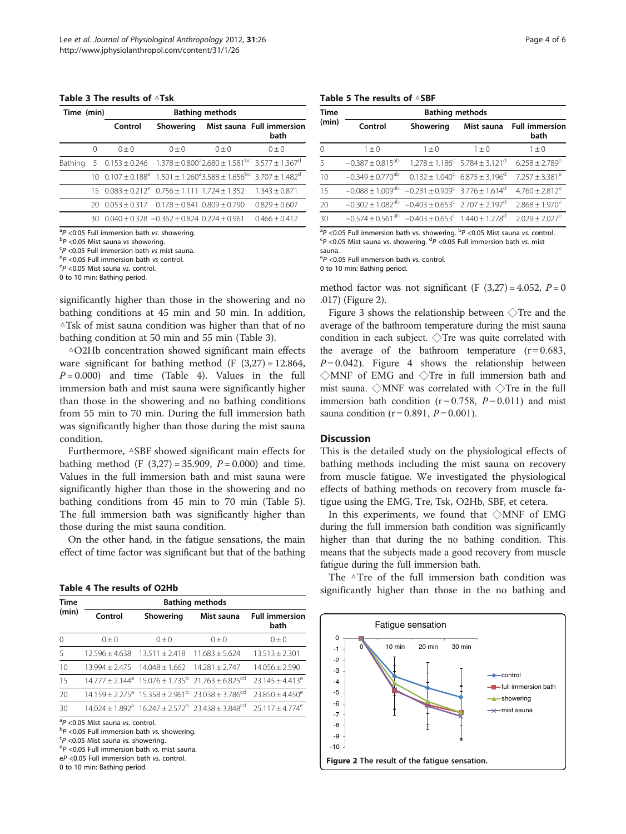#### Table 3 The results of △Tsk

| Time (min) |          | <b>Bathing methods</b>                                            |           |           |                                                                                                                   |
|------------|----------|-------------------------------------------------------------------|-----------|-----------|-------------------------------------------------------------------------------------------------------------------|
|            |          | Control                                                           |           |           | Showering Mist sauna Full immersion<br>bath                                                                       |
|            | $\Omega$ | $() + ()$                                                         | $() + ()$ | $() + ()$ | $() + ()$                                                                                                         |
| Bathing    |          |                                                                   |           |           | 5 $0.153 \pm 0.246$ $1.378 \pm 0.800^{\circ}$ $2.680 \pm 1.581^{\circ}$ $3.577 \pm 1.367^{\circ}$                 |
|            |          |                                                                   |           |           | $10$ 0.107 + 0.188 <sup>e</sup> 1.501 + 1.260 <sup>a</sup> 3.588 + 1.656 <sup>bc</sup> 3.707 + 1.482 <sup>d</sup> |
|            |          | $15$ 0.083 ± 0.212 $^e$ 0.756 ± 1.111 1.724 ± 1.352 1.343 ± 0.871 |           |           |                                                                                                                   |
|            | 20.      | $0.053 \pm 0.317$ $0.178 \pm 0.841$ $0.809 \pm 0.790$             |           |           | $0.829 + 0.607$                                                                                                   |
|            | 30       | $0.040 + 0.328 - 0.362 + 0.824 0.224 + 0.961$                     |           |           | $0.466 \pm 0.412$                                                                                                 |

 ${}^{ab}P$  <0.05 Full immersion bath vs. showering.<br> ${}^{b}P$  <0.05 Mist sauna vs showering

 $\rm ^{b}P$  <0.05 Mist sauna vs showering.

 $P$  <0.05 Full immersion bath vs mist sauna.

 $P$  <0.05 Full immersion bath vs control.

 $\rm{P}$  <0.05 Mist sauna vs. control.

0 to 10 min: Bathing period.

significantly higher than those in the showering and no bathing conditions at 45 min and 50 min. In addition,  $\triangle$ Tsk of mist sauna condition was higher than that of no bathing condition at 50 min and 55 min (Table 3).

△O2Hb concentration showed significant main effects ware significant for bathing method  $(F (3,27) = 12.864,$  $P = 0.000$  and time (Table 4). Values in the full immersion bath and mist sauna were significantly higher than those in the showering and no bathing conditions from 55 min to 70 min. During the full immersion bath was significantly higher than those during the mist sauna condition.

Furthermore, △SBF showed significant main effects for bathing method (F  $(3,27) = 35.909$ ,  $P = 0.000$ ) and time. Values in the full immersion bath and mist sauna were significantly higher than those in the showering and no bathing conditions from 45 min to 70 min (Table 5). The full immersion bath was significantly higher than those during the mist sauna condition.

On the other hand, in the fatigue sensations, the main effect of time factor was significant but that of the bathing

Table 4 The results of O2Hb

| Time     | <b>Bathing methods</b> |                  |                                                                                            |                               |  |  |
|----------|------------------------|------------------|--------------------------------------------------------------------------------------------|-------------------------------|--|--|
| (min)    | Control                | Showering        | Mist sauna                                                                                 | <b>Full immersion</b><br>bath |  |  |
| $\Omega$ | $() + ()$              | $() + ()$        | $() + ()$                                                                                  | $() + ()$                     |  |  |
| 5        | $12.596 + 4.638$       | $13.511 + 2.418$ | $11.683 \pm 5.624$                                                                         | $13.513 + 2.301$              |  |  |
| 10       | $13.994 + 2.475$       | $14.048 + 1.662$ | $14.281 + 2.747$                                                                           | $14.056 \pm 2.590$            |  |  |
| 15       |                        |                  | $14777 + 2144^a$ 15076 + 1735 <sup>b</sup> 21763 + 6825 <sup>cd</sup>                      | $23.145 \pm 4.413^e$          |  |  |
| 20       |                        |                  | $14.159 + 2.275^a$ $15.358 + 2.961^b$ $23.038 + 3.786^{cd}$                                | $73.850 \pm 4.450^e$          |  |  |
| 30       |                        |                  | $14.024 + 1.892$ <sup>a</sup> $16.247 + 2.572$ <sup>b</sup> $23.438 + 3.848$ <sup>cd</sup> | $25.117 + 4.774^e$            |  |  |

 ${}^{a}P$  <0.05 Mist sauna vs. control.<br> ${}^{b}P$  <0.05 Full immersion bath v

 $P$  <0.05 Full immersion bath vs. showering.

 ${}^{c}P$  <0.05 Mist sauna vs. showering.

 ${}^{d}P$  <0.05 Full immersion bath vs. mist sauna.

<sup>e</sup>P <0.05 Full immersion bath vs. control.

0 to 10 min: Bathing period.

#### Table 5 The results of △SBF

| Time<br>(min) | <b>Bathing methods</b>                                                    |                                                           |                                                          |                                |  |  |
|---------------|---------------------------------------------------------------------------|-----------------------------------------------------------|----------------------------------------------------------|--------------------------------|--|--|
|               | Control                                                                   | Showering                                                 | Mist sauna                                               | <b>Full immersion</b><br>bath  |  |  |
| 0             | $1\pm 0$                                                                  | $1 + 0$                                                   | $1 + 0$                                                  | $1 + 0$                        |  |  |
| 5             | $-0.387 \pm 0.815^{ab}$                                                   |                                                           | $1.278 \pm 1.186^{\circ}$ 5.784 $\pm$ 3.121 <sup>d</sup> | $6.258 \pm 2.789^e$            |  |  |
| 10            | $-0.349 \pm 0.770$ <sup>ab</sup>                                          | $0.132 + 1.040^{\circ}$ 6.875 + 3.196 <sup>d</sup>        |                                                          | $7.257 \pm 3.381^e$            |  |  |
| 15            | $-0.088 \pm 1.009$ <sup>ab</sup>                                          | $-0.231 \pm 0.909^{\circ}$ 3.776 $\pm$ 1.614 <sup>d</sup> |                                                          | $4.760 \pm 2.812^e$            |  |  |
| 20            | $-0.302 + 1.082^{ab}$ $-0.403 \pm 0.653^{c}$ 2.707 $\pm 2.197^{a}$        |                                                           |                                                          | $2.868 \pm 1.970^e$            |  |  |
| 30            | $-0.574 + 0.561^{ab} -0.403 \pm 0.653^{c}$ 1.440 $\pm$ 1.278 <sup>d</sup> |                                                           |                                                          | $2.029 \pm 2.027$ <sup>e</sup> |  |  |

<sup>a</sup>P <0.05 Full immersion bath vs. showering. <sup>b</sup>P <0.05 Mist sauna vs. control.<br><sup>CD</sup> <0.05 Mist sauna vs. showering. <sup>d</sup>P <0.05 Full immersion bath vs. mist  $P$  <0.05 Mist sauna vs. showering.  ${}^{d}P$  <0.05 Full immersion bath vs. mist<br>rauna sauna.

 $\binom{e}{P}$  <0.05 Full immersion bath vs. control.<br>0 to 10 min: Bathing period

0 to 10 min: Bathing period.

method factor was not significant (F  $(3,27) = 4.052$ ,  $P = 0$ .017) (Figure 2).

Figure [3](#page-4-0) shows the relationship between  $\Diamond$  Tre and the average of the bathroom temperature during the mist sauna condition in each subject. ◇Tre was quite correlated with the average of the bathroom temperature  $(r=0.683)$ ,  $P = 0.042$ . Figure [4](#page-4-0) shows the relationship between ◇MNF of EMG and ◇Tre in full immersion bath and mist sauna.  $\Diamond$ MNF was correlated with  $\Diamond$ Tre in the full immersion bath condition  $(r=0.758, P=0.011)$  and mist sauna condition ( $r = 0.891$ ,  $P = 0.001$ ).

#### **Discussion**

This is the detailed study on the physiological effects of bathing methods including the mist sauna on recovery from muscle fatigue. We investigated the physiological effects of bathing methods on recovery from muscle fatigue using the EMG, Tre, Tsk, O2Hb, SBF, et cetera.

In this experiments, we found that ◇MNF of EMG during the full immersion bath condition was significantly higher than that during the no bathing condition. This means that the subjects made a good recovery from muscle fatigue during the full immersion bath.

The △Tre of the full immersion bath condition was significantly higher than those in the no bathing and

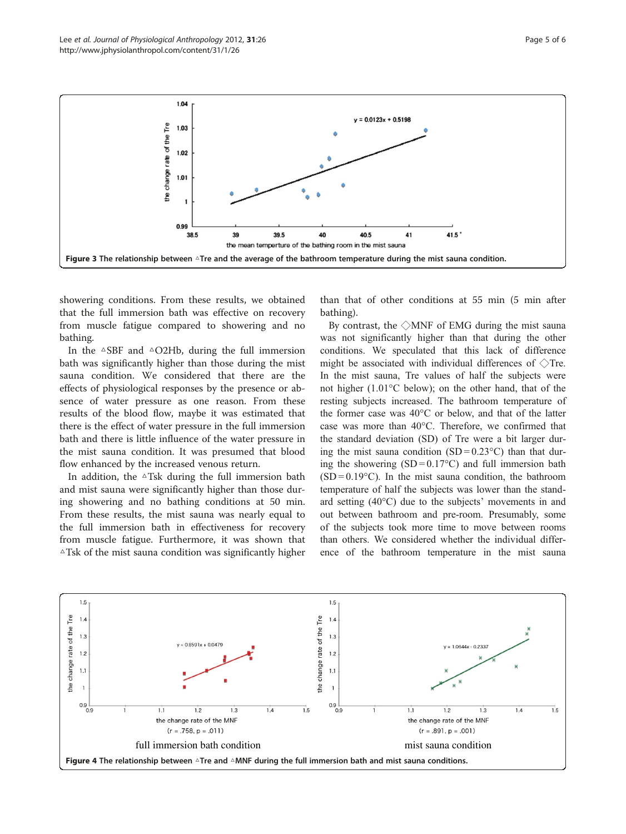<span id="page-4-0"></span>

showering conditions. From these results, we obtained that the full immersion bath was effective on recovery from muscle fatigue compared to showering and no bathing.

In the  $\triangle$ SBF and  $\triangle$ O2Hb, during the full immersion bath was significantly higher than those during the mist sauna condition. We considered that there are the effects of physiological responses by the presence or absence of water pressure as one reason. From these results of the blood flow, maybe it was estimated that there is the effect of water pressure in the full immersion bath and there is little influence of the water pressure in the mist sauna condition. It was presumed that blood flow enhanced by the increased venous return.

In addition, the  $\triangle$ Tsk during the full immersion bath and mist sauna were significantly higher than those during showering and no bathing conditions at 50 min. From these results, the mist sauna was nearly equal to the full immersion bath in effectiveness for recovery from muscle fatigue. Furthermore, it was shown that  $\triangle$ Tsk of the mist sauna condition was significantly higher

than that of other conditions at 55 min (5 min after bathing).

By contrast, the  $\Diamond$ MNF of EMG during the mist sauna was not significantly higher than that during the other conditions. We speculated that this lack of difference might be associated with individual differences of  $\Diamond$ Tre. In the mist sauna, Tre values of half the subjects were not higher (1.01°C below); on the other hand, that of the resting subjects increased. The bathroom temperature of the former case was 40°C or below, and that of the latter case was more than 40°C. Therefore, we confirmed that the standard deviation (SD) of Tre were a bit larger during the mist sauna condition  $(SD = 0.23^{\circ}C)$  than that during the showering  $(SD = 0.17^{\circ}C)$  and full immersion bath  $(SD = 0.19^{\circ}C)$ . In the mist sauna condition, the bathroom temperature of half the subjects was lower than the standard setting (40°C) due to the subjects' movements in and out between bathroom and pre-room. Presumably, some of the subjects took more time to move between rooms than others. We considered whether the individual difference of the bathroom temperature in the mist sauna